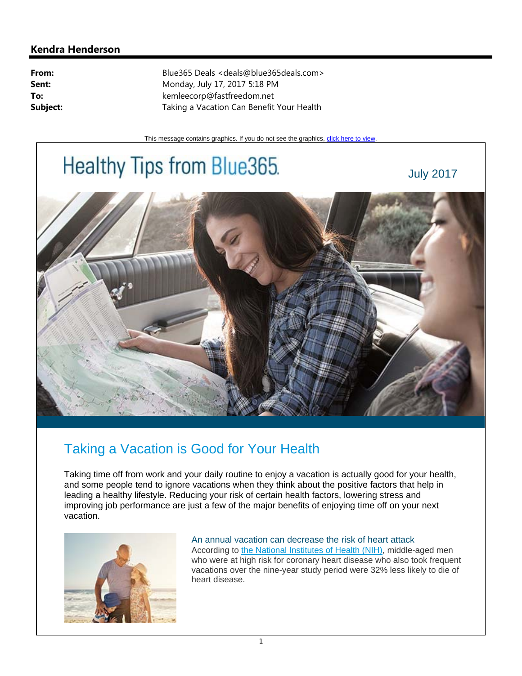## **Kendra Henderson**

**From:** Blue365 Deals <deals@blue365deals.com> **Sent:** Monday, July 17, 2017 5:18 PM **To:** kemleecorp@fastfreedom.net **Subject:** Taking a Vacation Can Benefit Your Health

This message contains graphics. If you do not see the graphics, click here to view.

## Healthy Tips from Blue365.

July 2017



## Taking a Vacation is Good for Your Health

Taking time off from work and your daily routine to enjoy a vacation is actually good for your health, and some people tend to ignore vacations when they think about the positive factors that help in leading a healthy lifestyle. Reducing your risk of certain health factors, lowering stress and improving job performance are just a few of the major benefits of enjoying time off on your next vacation.



An annual vacation can decrease the risk of heart attack<br>According to the National Institutes of Health (NIH), middle-aged men who were at high risk for coronary heart disease who also took frequent vacations over the nine-year study period were 32% less likely to die of heart disease.